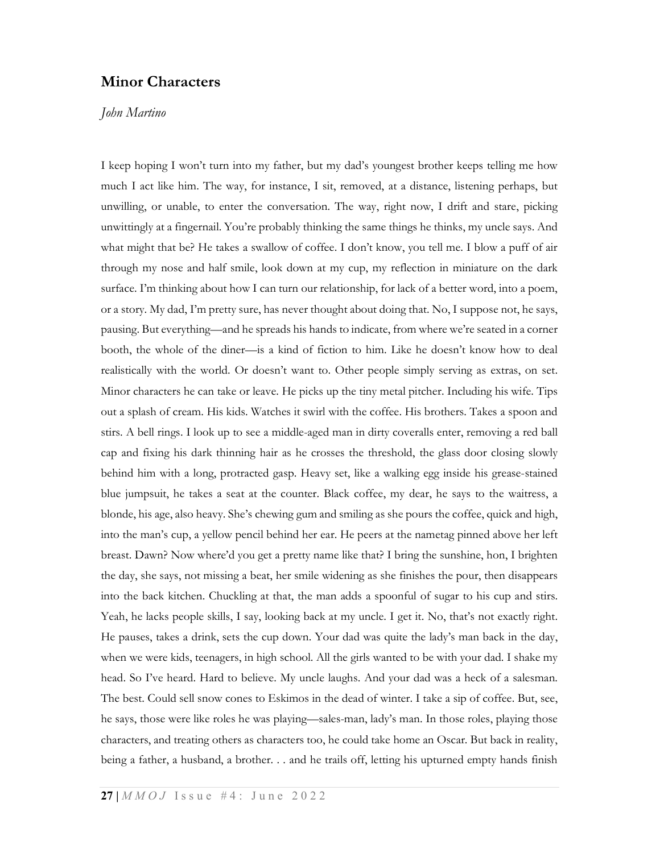## Minor Characters

## John Martino

I keep hoping I won't turn into my father, but my dad's youngest brother keeps telling me how much I act like him. The way, for instance, I sit, removed, at a distance, listening perhaps, but unwilling, or unable, to enter the conversation. The way, right now, I drift and stare, picking unwittingly at a fingernail. You're probably thinking the same things he thinks, my uncle says. And what might that be? He takes a swallow of coffee. I don't know, you tell me. I blow a puff of air through my nose and half smile, look down at my cup, my reflection in miniature on the dark surface. I'm thinking about how I can turn our relationship, for lack of a better word, into a poem, or a story. My dad, I'm pretty sure, has never thought about doing that. No, I suppose not, he says, pausing. But everything—and he spreads his hands to indicate, from where we're seated in a corner booth, the whole of the diner—is a kind of fiction to him. Like he doesn't know how to deal realistically with the world. Or doesn't want to. Other people simply serving as extras, on set. Minor characters he can take or leave. He picks up the tiny metal pitcher. Including his wife. Tips out a splash of cream. His kids. Watches it swirl with the coffee. His brothers. Takes a spoon and stirs. A bell rings. I look up to see a middle-aged man in dirty coveralls enter, removing a red ball cap and fixing his dark thinning hair as he crosses the threshold, the glass door closing slowly behind him with a long, protracted gasp. Heavy set, like a walking egg inside his grease-stained blue jumpsuit, he takes a seat at the counter. Black coffee, my dear, he says to the waitress, a blonde, his age, also heavy. She's chewing gum and smiling as she pours the coffee, quick and high, into the man's cup, a yellow pencil behind her ear. He peers at the nametag pinned above her left breast. Dawn? Now where'd you get a pretty name like that? I bring the sunshine, hon, I brighten the day, she says, not missing a beat, her smile widening as she finishes the pour, then disappears into the back kitchen. Chuckling at that, the man adds a spoonful of sugar to his cup and stirs. Yeah, he lacks people skills, I say, looking back at my uncle. I get it. No, that's not exactly right. He pauses, takes a drink, sets the cup down. Your dad was quite the lady's man back in the day, when we were kids, teenagers, in high school. All the girls wanted to be with your dad. I shake my head. So I've heard. Hard to believe. My uncle laughs. And your dad was a heck of a salesman. The best. Could sell snow cones to Eskimos in the dead of winter. I take a sip of coffee. But, see, he says, those were like roles he was playing—sales-man, lady's man. In those roles, playing those characters, and treating others as characters too, he could take home an Oscar. But back in reality, being a father, a husband, a brother. . . and he trails off, letting his upturned empty hands finish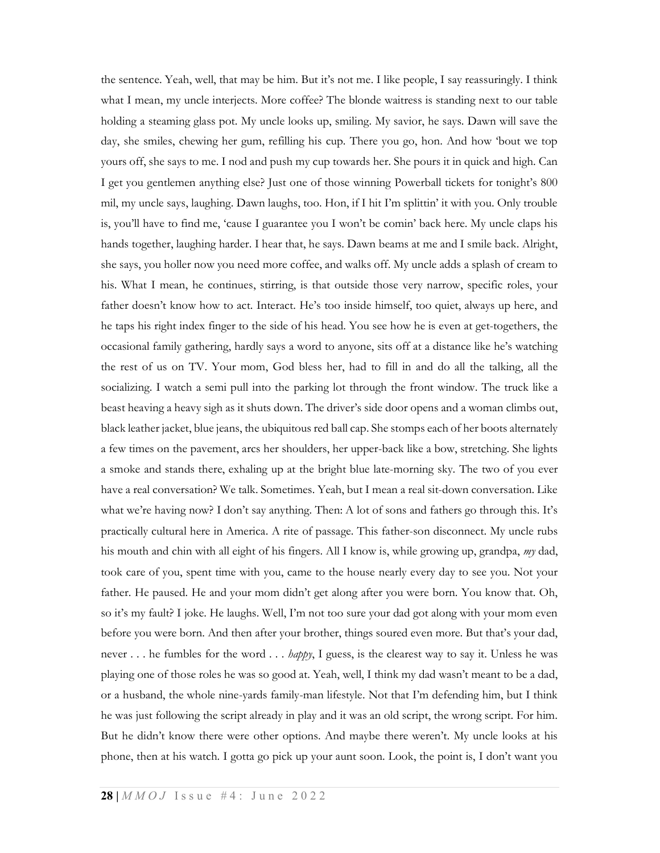the sentence. Yeah, well, that may be him. But it's not me. I like people, I say reassuringly. I think what I mean, my uncle interjects. More coffee? The blonde waitress is standing next to our table holding a steaming glass pot. My uncle looks up, smiling. My savior, he says. Dawn will save the day, she smiles, chewing her gum, refilling his cup. There you go, hon. And how 'bout we top yours off, she says to me. I nod and push my cup towards her. She pours it in quick and high. Can I get you gentlemen anything else? Just one of those winning Powerball tickets for tonight's 800 mil, my uncle says, laughing. Dawn laughs, too. Hon, if I hit I'm splittin' it with you. Only trouble is, you'll have to find me, 'cause I guarantee you I won't be comin' back here. My uncle claps his hands together, laughing harder. I hear that, he says. Dawn beams at me and I smile back. Alright, she says, you holler now you need more coffee, and walks off. My uncle adds a splash of cream to his. What I mean, he continues, stirring, is that outside those very narrow, specific roles, your father doesn't know how to act. Interact. He's too inside himself, too quiet, always up here, and he taps his right index finger to the side of his head. You see how he is even at get-togethers, the occasional family gathering, hardly says a word to anyone, sits off at a distance like he's watching the rest of us on TV. Your mom, God bless her, had to fill in and do all the talking, all the socializing. I watch a semi pull into the parking lot through the front window. The truck like a beast heaving a heavy sigh as it shuts down. The driver's side door opens and a woman climbs out, black leather jacket, blue jeans, the ubiquitous red ball cap. She stomps each of her boots alternately a few times on the pavement, arcs her shoulders, her upper-back like a bow, stretching. She lights a smoke and stands there, exhaling up at the bright blue late-morning sky. The two of you ever have a real conversation? We talk. Sometimes. Yeah, but I mean a real sit-down conversation. Like what we're having now? I don't say anything. Then: A lot of sons and fathers go through this. It's practically cultural here in America. A rite of passage. This father-son disconnect. My uncle rubs his mouth and chin with all eight of his fingers. All I know is, while growing up, grandpa, my dad, took care of you, spent time with you, came to the house nearly every day to see you. Not your father. He paused. He and your mom didn't get along after you were born. You know that. Oh, so it's my fault? I joke. He laughs. Well, I'm not too sure your dad got along with your mom even before you were born. And then after your brother, things soured even more. But that's your dad, never . . . he fumbles for the word . . . *happy*, I guess, is the clearest way to say it. Unless he was playing one of those roles he was so good at. Yeah, well, I think my dad wasn't meant to be a dad, or a husband, the whole nine-yards family-man lifestyle. Not that I'm defending him, but I think he was just following the script already in play and it was an old script, the wrong script. For him. But he didn't know there were other options. And maybe there weren't. My uncle looks at his phone, then at his watch. I gotta go pick up your aunt soon. Look, the point is, I don't want you